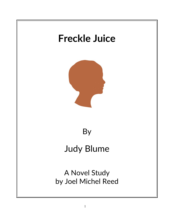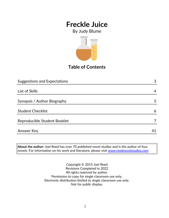By Judy Blume



## **Table of Contents**

| <b>Suggestions and Expectations</b> | 3  |
|-------------------------------------|----|
|                                     |    |
| List of Skills                      | 4  |
|                                     |    |
| Synopsis / Author Biography         | 5  |
|                                     |    |
| <b>Student Checklist</b>            | 6  |
|                                     |    |
| Reproducible Student Booklet        |    |
|                                     |    |
| <b>Answer Key</b>                   | 41 |

**About the author:** Joel Reed has over 70 published novel studies and is the author of four  $|$ novels. For information on his work and literature, please visit  $\overline{\text{www.reednovelstudies.com}}$ 

> Copyright © 2015 Joel Reed Revisions Completed in 2022 All rights reserved by author. Permission to copy for single classroom use only. Electronic distribution limited to single classroom use only. Not for public display.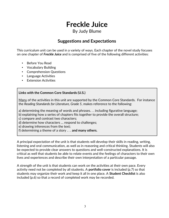### By Judy Blume

### **Suggestions and Expectations**

This curriculum unit can be used in a variety of ways. Each chapter of the novel study focuses on one chapter of *Freckle Juice* and is comprised of five of the following different activities:

- Before You Read
- Vocabulary Building
- Comprehension Questions
- Language Activities
- **Extension Activities**

### **Links with the Common Core Standards (U.S.)**

Many of the activities in this unit are supported by the Common Core Standards. For instance the *Reading Standards for Literature, Grade 5*, makes reference to the following:

a) determining the meaning of words and phrases. . . including figurative language;

b) explaining how a series of chapters fits together to provide the overall structure;

c) compare and contrast two characters;

d) determine how characters … respond to challenges;

e) drawing inferences from the text;

f) determining a theme of a story . . . **and many others.**

A principal expectation of the unit is that students will develop their skills in reading, writing, listening and oral communication, as well as in reasoning and critical thinking. Students will also be expected to provide clear answers to questions and well-constructed explanations. It is critical as well that students be able to relate events and the feelings of characters to their own lives and experiences and describe their own interpretation of a particular passage.

A strength of the unit is that students can work on the activities at their own pace. Every activity need not be completed by all students. A **portfolio cover** is included (p.7) so that students may organize their work and keep it all in one place. A **Student Checklist** is also included (p.6) so that a record of completed work may be recorded.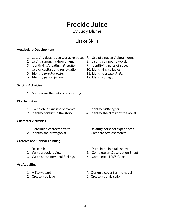By Judy Blume

**List of Skills**

#### **Vocabulary Development**

- 1. Locating descriptive words /phrases 7. Use of singular / plural nouns
- 2. Listing synonyms/homonyms 8. Listing compound words
- 3. Identifying/creating *alliteration* 9. Identifying parts of speech
- 4. Use of capitals and punctuation 10. Identifying syllables
- 5. Identify *foreshadowing*. 11. Identify/create *similes*
- 6. Identify *personification* 12. Identify anagrams

### **Setting Activities**

1. Summarize the details of a setting

#### **Plot Activities**

- 1. Complete a *time line* of events 3. Identify *cliffhangers*
- 

### **Character Activities**

- 
- 

### **Creative and Critical Thinking**

- 
- 
- 3. Write about personal feelings 6. Complete a KWS Chart

### **Art Activities**

- 
- 
- 
- 
- 

- 
- 2. Identify conflict in the story 4. Identify the climax of the novel.
- 1. Determine character traits 3. Relating personal experiences
- 2. Identify the protagonist 4. Compare two characters
- 1. Research 4. Participate in a talk show
- 2. Write a book review 5. Complete an Observation Sheet
	-
- 1. A Storyboard **1.** A Storyboard **1.** A Storyboard
- 2. Create a collage 5. Create a comic strip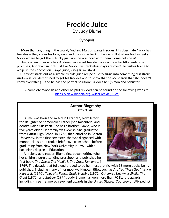By Judy Blume

### **Synopsis**

 More than anything in the world, Andrew Marcus wants freckles. His classmate Nicky has freckles – they cover his face, ears, and the whole back of his neck. But when Andrew asks Nicky where he got them, Nicky just says he was born with them. Some help he is!

 That's when Sharon offers Andrew her secret freckle juice recipe – for fifty cents, she promises, Andrew can look just like Nicky. His freckleless days are over! He rushes home to whip up the concoction. Grape juice, vinegar, mustard …

 But what starts out as a simple freckle juice recipe quickly turns into something disastrous. Andrew is still determined to get his freckles and to show that pesky Sharon that she doesn't know everything – and he has the perfect solution! Or does he? (Simon and Schuster)

A complete synopsis and other helpful reviews can be found on the following website: [https://en.wikipedia.org/wiki/Freckle\\_Juice](https://en.wikipedia.org/wiki/Freckle_Juice)

### **Author Biography** *Judy Blume*

 Blume was born and raised in Elizabeth, New Jersey, the daughter of homemaker Esther (née Rosenfeld) and dentist Ralph Sussman. She has a brother, David, who is five years older. Her family was Jewish. She graduated from Battin High School in 1956, then enrolled in Boston University. In the first semester, she was diagnosed with mononucleosis and took a brief leave from school before graduating from New York University in 1961 with a bachelor's degree in Education.

 A lifelong avid reader, Blume first began writing when her children were attending preschool, and published her first book, *The One In The Middle Is The Green Kangaroo*, in



1969. The decade that followed proved to be her most prolific, with 13 more books being published, including many of her most well-known titles, such as *Are You There God? It's Me, Margaret*. (1970), *Tales of a Fourth Grade Nothing* (1972), *Otherwise Known as Sheila, The Great* (1972), and *Blubber* (1974). Judy Blume has won more than 90 literary awards, including three lifetime achievement awards in the United States. (Courtesy of Wikipedia.)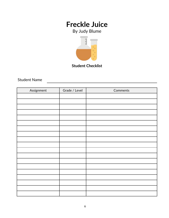By Judy Blume



**Student Checklist**

Student Name

| Assignment | Grade / Level | Comments |
|------------|---------------|----------|
|            |               |          |
|            |               |          |
|            |               |          |
|            |               |          |
|            |               |          |
|            |               |          |
|            |               |          |
|            |               |          |
|            |               |          |
|            |               |          |
|            |               |          |
|            |               |          |
|            |               |          |
|            |               |          |
|            |               |          |
|            |               |          |
|            |               |          |
|            |               |          |
|            |               |          |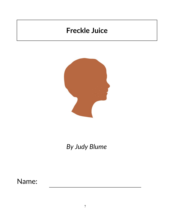

# *By Judy Blume*

Name: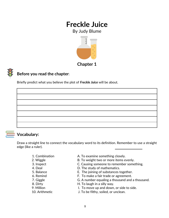By Judy Blume





### **Before you read the chapter**:

Briefly predict what you believe the plot of *Freckle Juice* will be about.



### **Vocabulary:**

Draw a straight line to connect the vocabulary word to its definition. Remember to use a straight edge (like a ruler).

- 
- 
- 
- 
- 
- 
- 
- 
- 
- 
- 1. Combination **A. To examine something closely.**
- 2. Wiggle B. To weight two or more items evenly.
- 3. Inspect **C. Causing someone to remember something.**
- 4. Deal **D.** The study of mathematics.
- 5. Balance E. The joining of substances together.
- 6. Remind F. To make a fair trade or agreement.
- 7. Giggle G. A number equaling a thousand and a thousand.
- 8. Dirty **H. To laugh in a silly way.**
- 9. Million **I. To move up and down, or side to side.**
- 10. Arithmetic **J. To be filthy, soiled, or unclean.**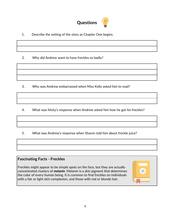

- 1. Describe the setting of the story as Chapter One begins.
- 2. Why did Andrew want to have freckles so badly?

- 3. Why was Andrew embarrassed when Miss Kelly asked him to read?
- 4. What was Nicky's response when Andrew asked him how he got his freckles?
- 5. What was Andrew's response when Sharon told him about freckle juice?

### **Fascinating Facts - Freckles**

Freckles might appear to be simple spots on the face, but they are actually concentrated clusters of *melanin*. Melanin is a skin pigment that determines the color of every human being. It is common to find freckles on individuals with a fair or light skin complexion, and those with red or blonde hair.

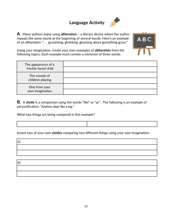# **Language Activity**



**A**. Many authors enjoy using **alliteration –** a literary device where the author repeats the same sound at the beginning of several words. Here's an example of an alliteration: ". . . **s**creaming, **s**hrieking, **s**houting about **s**omething **s**cary."



Using your imagination, create your own examples of **alliteration** from the following topics. Each example must contain a minimum of three words.

| The appearance of a<br>freckle-faced child |  |
|--------------------------------------------|--|
| The sounds of<br>children playing.         |  |
| One from your<br>own imagination.          |  |

**B.** A **simile** is a comparison using the words "like" or "as". The following is an example of personification: "*Andrew slept like a log.*"

What two things are being compared in this example?

Invent two of your own **similes** comparing two different things using your own imagination:

a)

b)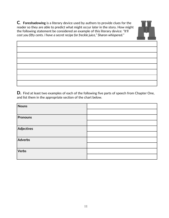**C. Foreshadowing** is a literary device used by authors to provide clues for the reader so they are able to predict what might occur *later* in the story. How might the following statement be considered an example of this literary device: *"It'll cost you fifty cents. I have a secret recipe for freckle juice," Sharon whispered."* 



**D.** Find at least two examples of each of the following five parts of speech from Chapter One, and list them in the appropriate section of the chart below.

| Nouns          |  |
|----------------|--|
|                |  |
| Pronouns       |  |
|                |  |
| Adjectives     |  |
|                |  |
| <b>Adverbs</b> |  |
|                |  |
| Verbs          |  |
|                |  |